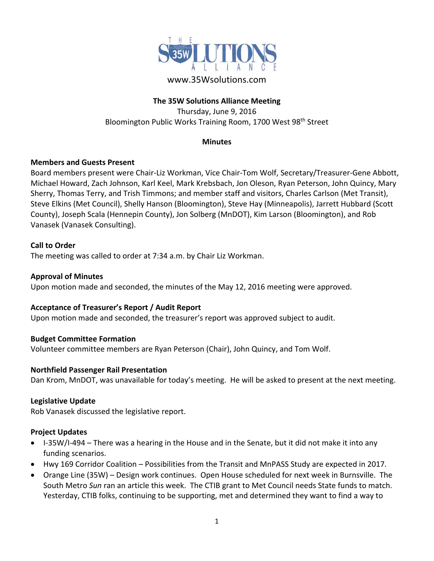

# www.35Wsolutions.com

## **The 35W Solutions Alliance Meeting**

Thursday, June 9, 2016 Bloomington Public Works Training Room, 1700 West 98th Street

### **Minutes**

## **Members and Guests Present**

Board members present were Chair‐Liz Workman, Vice Chair‐Tom Wolf, Secretary/Treasurer‐Gene Abbott, Michael Howard, Zach Johnson, Karl Keel, Mark Krebsbach, Jon Oleson, Ryan Peterson, John Quincy, Mary Sherry, Thomas Terry, and Trish Timmons; and member staff and visitors, Charles Carlson (Met Transit), Steve Elkins (Met Council), Shelly Hanson (Bloomington), Steve Hay (Minneapolis), Jarrett Hubbard (Scott County), Joseph Scala (Hennepin County), Jon Solberg (MnDOT), Kim Larson (Bloomington), and Rob Vanasek (Vanasek Consulting).

## **Call to Order**

The meeting was called to order at 7:34 a.m. by Chair Liz Workman.

### **Approval of Minutes**

Upon motion made and seconded, the minutes of the May 12, 2016 meeting were approved.

## **Acceptance of Treasurer's Report / Audit Report**

Upon motion made and seconded, the treasurer's report was approved subject to audit.

#### **Budget Committee Formation**

Volunteer committee members are Ryan Peterson (Chair), John Quincy, and Tom Wolf.

#### **Northfield Passenger Rail Presentation**

Dan Krom, MnDOT, was unavailable for today's meeting. He will be asked to present at the next meeting.

#### **Legislative Update**

Rob Vanasek discussed the legislative report.

#### **Project Updates**

- I-35W/I-494 There was a hearing in the House and in the Senate, but it did not make it into any funding scenarios.
- Hwy 169 Corridor Coalition Possibilities from the Transit and MnPASS Study are expected in 2017.
- Orange Line (35W) Design work continues. Open House scheduled for next week in Burnsville. The South Metro *Sun* ran an article this week. The CTIB grant to Met Council needs State funds to match. Yesterday, CTIB folks, continuing to be supporting, met and determined they want to find a way to